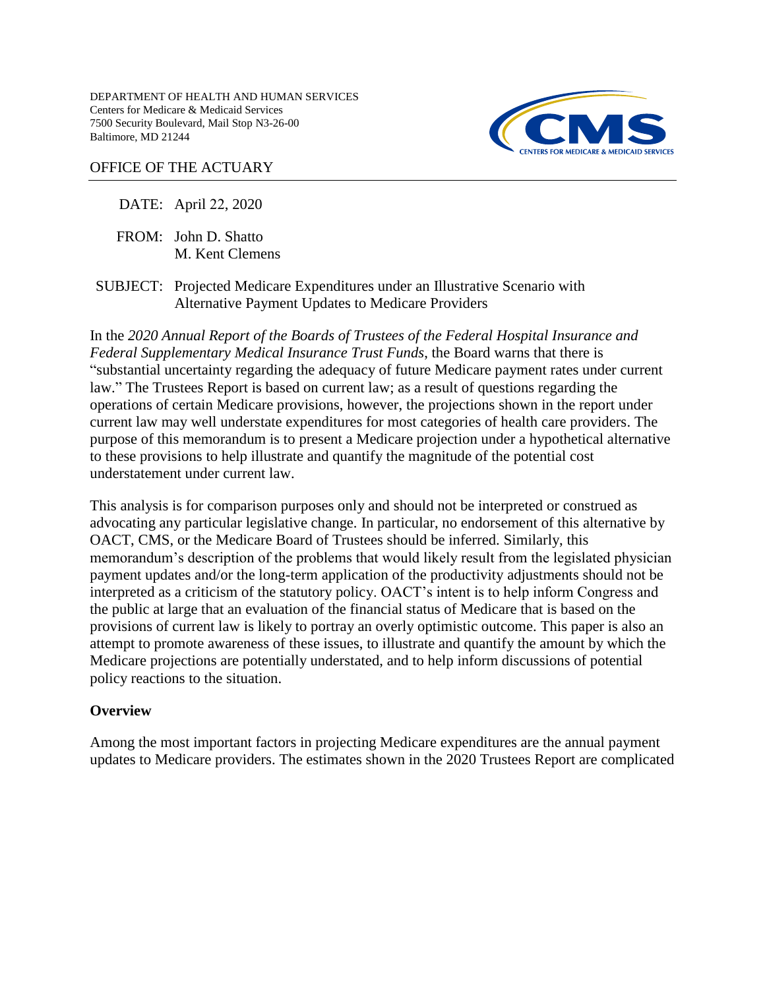DEPARTMENT OF HEALTH AND HUMAN SERVICES Centers for Medicare & Medicaid Services 7500 Security Boulevard, Mail Stop N3-26-00 Baltimore, MD 21244



## OFFICE OF THE ACTUARY

DATE: April 22, 2020

FROM: John D. Shatto M. Kent Clemens

SUBJECT: Projected Medicare Expenditures under an Illustrative Scenario with Alternative Payment Updates to Medicare Providers

In the *2020 Annual Report of the Boards of Trustees of the Federal Hospital Insurance and Federal Supplementary Medical Insurance Trust Funds*, the Board warns that there is "substantial uncertainty regarding the adequacy of future Medicare payment rates under current law." The Trustees Report is based on current law; as a result of questions regarding the operations of certain Medicare provisions, however, the projections shown in the report under current law may well understate expenditures for most categories of health care providers. The purpose of this memorandum is to present a Medicare projection under a hypothetical alternative to these provisions to help illustrate and quantify the magnitude of the potential cost understatement under current law.

This analysis is for comparison purposes only and should not be interpreted or construed as advocating any particular legislative change. In particular, no endorsement of this alternative by OACT, CMS, or the Medicare Board of Trustees should be inferred. Similarly, this memorandum's description of the problems that would likely result from the legislated physician payment updates and/or the long-term application of the productivity adjustments should not be interpreted as a criticism of the statutory policy. OACT's intent is to help inform Congress and the public at large that an evaluation of the financial status of Medicare that is based on the provisions of current law is likely to portray an overly optimistic outcome. This paper is also an attempt to promote awareness of these issues, to illustrate and quantify the amount by which the Medicare projections are potentially understated, and to help inform discussions of potential policy reactions to the situation.

### **Overview**

Among the most important factors in projecting Medicare expenditures are the annual payment updates to Medicare providers. The estimates shown in the 2020 Trustees Report are complicated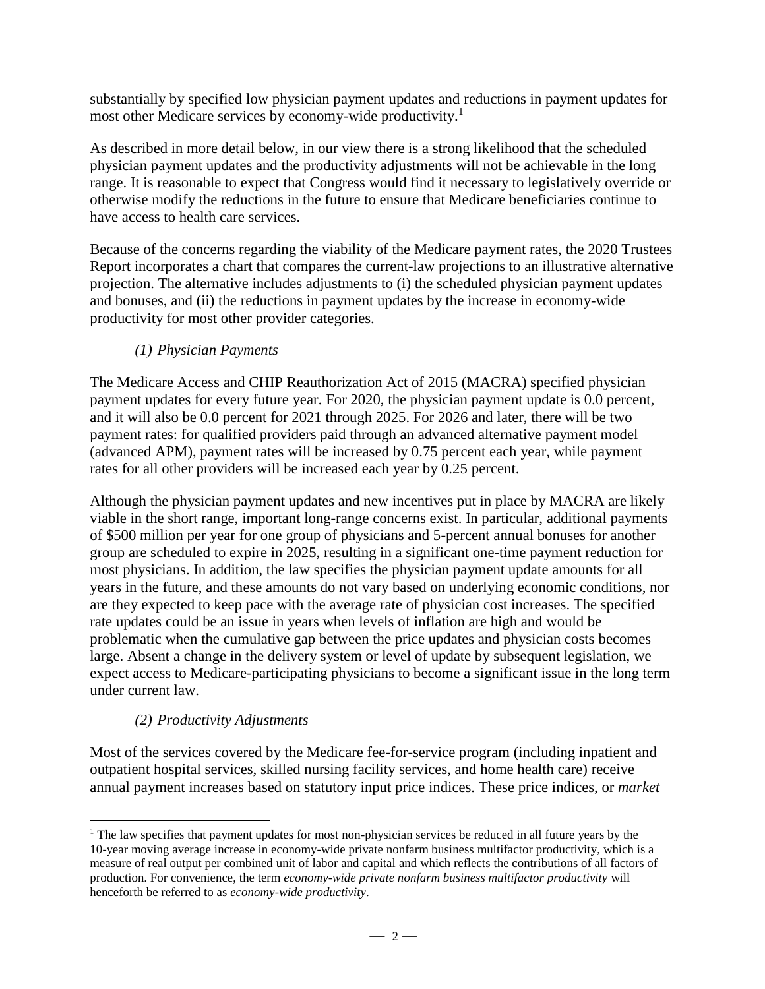substantially by specified low physician payment updates and reductions in payment updates for most other Medicare services by economy-wide productivity.<sup>1</sup>

As described in more detail below, in our view there is a strong likelihood that the scheduled physician payment updates and the productivity adjustments will not be achievable in the long range. It is reasonable to expect that Congress would find it necessary to legislatively override or otherwise modify the reductions in the future to ensure that Medicare beneficiaries continue to have access to health care services.

Because of the concerns regarding the viability of the Medicare payment rates, the 2020 Trustees Report incorporates a chart that compares the current-law projections to an illustrative alternative projection. The alternative includes adjustments to (i) the scheduled physician payment updates and bonuses, and (ii) the reductions in payment updates by the increase in economy-wide productivity for most other provider categories.

# *(1) Physician Payments*

The Medicare Access and CHIP Reauthorization Act of 2015 (MACRA) specified physician payment updates for every future year. For 2020, the physician payment update is 0.0 percent, and it will also be 0.0 percent for 2021 through 2025. For 2026 and later, there will be two payment rates: for qualified providers paid through an advanced alternative payment model (advanced APM), payment rates will be increased by 0.75 percent each year, while payment rates for all other providers will be increased each year by 0.25 percent.

Although the physician payment updates and new incentives put in place by MACRA are likely viable in the short range, important long-range concerns exist. In particular, additional payments of \$500 million per year for one group of physicians and 5-percent annual bonuses for another group are scheduled to expire in 2025, resulting in a significant one-time payment reduction for most physicians. In addition, the law specifies the physician payment update amounts for all years in the future, and these amounts do not vary based on underlying economic conditions, nor are they expected to keep pace with the average rate of physician cost increases. The specified rate updates could be an issue in years when levels of inflation are high and would be problematic when the cumulative gap between the price updates and physician costs becomes large. Absent a change in the delivery system or level of update by subsequent legislation, we expect access to Medicare-participating physicians to become a significant issue in the long term under current law.

# *(2) Productivity Adjustments*

 $\overline{a}$ 

Most of the services covered by the Medicare fee-for-service program (including inpatient and outpatient hospital services, skilled nursing facility services, and home health care) receive annual payment increases based on statutory input price indices. These price indices, or *market* 

<sup>&</sup>lt;sup>1</sup> The law specifies that payment updates for most non-physician services be reduced in all future years by the 10-year moving average increase in economy-wide private nonfarm business multifactor productivity, which is a measure of real output per combined unit of labor and capital and which reflects the contributions of all factors of production. For convenience, the term *economy-wide private nonfarm business multifactor productivity* will henceforth be referred to as *economy-wide productivity*.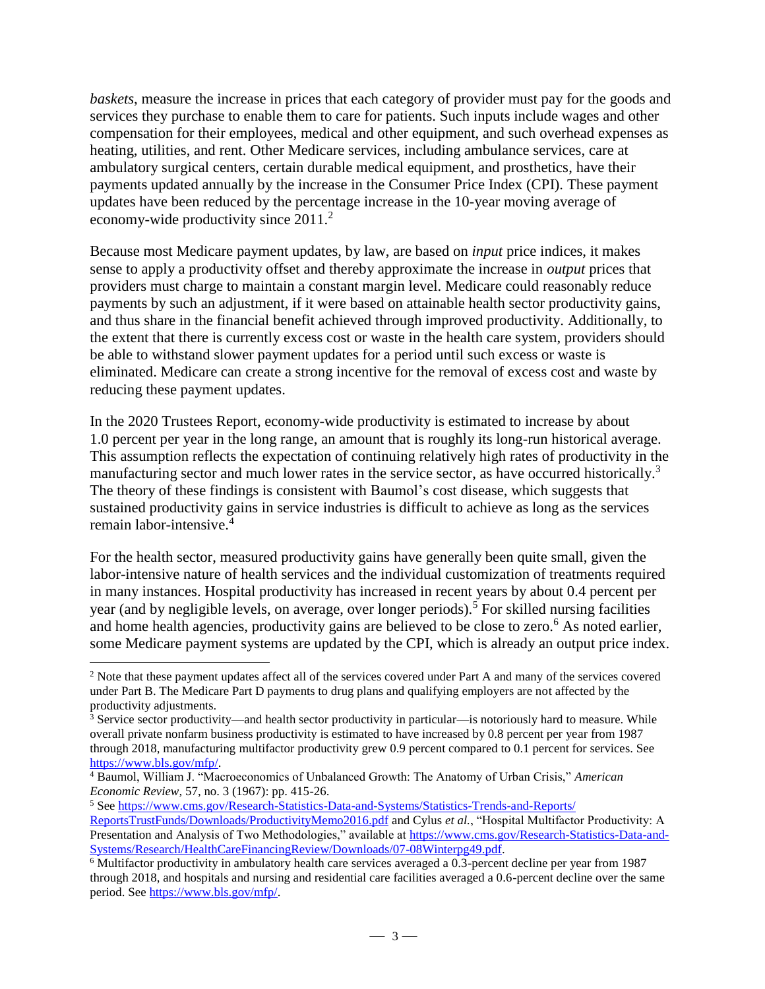*baskets*, measure the increase in prices that each category of provider must pay for the goods and services they purchase to enable them to care for patients. Such inputs include wages and other compensation for their employees, medical and other equipment, and such overhead expenses as heating, utilities, and rent. Other Medicare services, including ambulance services, care at ambulatory surgical centers, certain durable medical equipment, and prosthetics, have their payments updated annually by the increase in the Consumer Price Index (CPI). These payment updates have been reduced by the percentage increase in the 10-year moving average of economy-wide productivity since 2011.<sup>2</sup>

Because most Medicare payment updates, by law, are based on *input* price indices, it makes sense to apply a productivity offset and thereby approximate the increase in *output* prices that providers must charge to maintain a constant margin level. Medicare could reasonably reduce payments by such an adjustment, if it were based on attainable health sector productivity gains, and thus share in the financial benefit achieved through improved productivity. Additionally, to the extent that there is currently excess cost or waste in the health care system, providers should be able to withstand slower payment updates for a period until such excess or waste is eliminated. Medicare can create a strong incentive for the removal of excess cost and waste by reducing these payment updates.

In the 2020 Trustees Report, economy-wide productivity is estimated to increase by about 1.0 percent per year in the long range, an amount that is roughly its long-run historical average. This assumption reflects the expectation of continuing relatively high rates of productivity in the manufacturing sector and much lower rates in the service sector, as have occurred historically.<sup>3</sup> The theory of these findings is consistent with Baumol's cost disease, which suggests that sustained productivity gains in service industries is difficult to achieve as long as the services remain labor-intensive.<sup>4</sup>

For the health sector, measured productivity gains have generally been quite small, given the labor-intensive nature of health services and the individual customization of treatments required in many instances. Hospital productivity has increased in recent years by about 0.4 percent per year (and by negligible levels, on average, over longer periods).<sup>5</sup> For skilled nursing facilities and home health agencies, productivity gains are believed to be close to zero.<sup>6</sup> As noted earlier, some Medicare payment systems are updated by the CPI, which is already an output price index.

<sup>&</sup>lt;sup>2</sup> Note that these payment updates affect all of the services covered under Part A and many of the services covered under Part B. The Medicare Part D payments to drug plans and qualifying employers are not affected by the productivity adjustments.

 $3$  Service sector productivity—and health sector productivity in particular—is notoriously hard to measure. While overall private nonfarm business productivity is estimated to have increased by 0.8 percent per year from 1987 through 2018, manufacturing multifactor productivity grew 0.9 percent compared to 0.1 percent for services. See [https://www.bls.gov/mfp/.](https://www.bls.gov/mfp/)

<sup>4</sup> Baumol, William J. "Macroeconomics of Unbalanced Growth: The Anatomy of Urban Crisis," *American Economic Review,* 57, no. 3 (1967): pp. 415-26.

<sup>5</sup> Se[e https://www.cms.gov/Research-Statistics-Data-and-Systems/Statistics-Trends-and-Reports/](https://www.cms.gov/Research-Statistics-Data-and-Systems/Statistics-Trends-and-Reports/ReportsTrustFunds/Downloads/ProductivityMemo2016.pdf) [ReportsTrustFunds/Downloads/ProductivityMemo2016.pdf](https://www.cms.gov/Research-Statistics-Data-and-Systems/Statistics-Trends-and-Reports/ReportsTrustFunds/Downloads/ProductivityMemo2016.pdf) and Cylus *et al.*, "Hospital Multifactor Productivity: A Presentation and Analysis of Two Methodologies," available at [https://www.cms.gov/Research-Statistics-Data-and-](https://www.cms.gov/Research-Statistics-Data-and-Systems/Research/HealthCareFinancingReview/Downloads/07-08Winterpg49.pdf)[Systems/Research/HealthCareFinancingReview/Downloads/07-08Winterpg49.pdf.](https://www.cms.gov/Research-Statistics-Data-and-Systems/Research/HealthCareFinancingReview/Downloads/07-08Winterpg49.pdf)

 $6$  Multifactor productivity in ambulatory health care services averaged a 0.3-percent decline per year from 1987 through 2018, and hospitals and nursing and residential care facilities averaged a 0.6-percent decline over the same period. Se[e https://www.bls.gov/mfp/.](https://www.bls.gov/mfp/)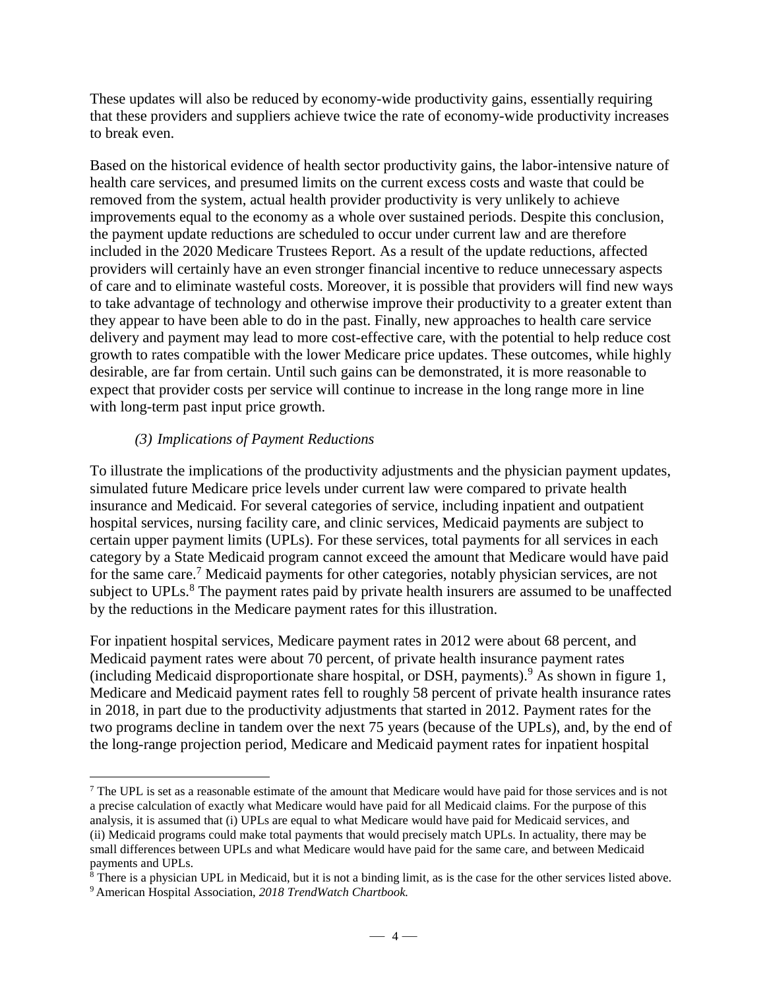These updates will also be reduced by economy-wide productivity gains, essentially requiring that these providers and suppliers achieve twice the rate of economy-wide productivity increases to break even.

Based on the historical evidence of health sector productivity gains, the labor-intensive nature of health care services, and presumed limits on the current excess costs and waste that could be removed from the system, actual health provider productivity is very unlikely to achieve improvements equal to the economy as a whole over sustained periods. Despite this conclusion, the payment update reductions are scheduled to occur under current law and are therefore included in the 2020 Medicare Trustees Report. As a result of the update reductions, affected providers will certainly have an even stronger financial incentive to reduce unnecessary aspects of care and to eliminate wasteful costs. Moreover, it is possible that providers will find new ways to take advantage of technology and otherwise improve their productivity to a greater extent than they appear to have been able to do in the past. Finally, new approaches to health care service delivery and payment may lead to more cost-effective care, with the potential to help reduce cost growth to rates compatible with the lower Medicare price updates. These outcomes, while highly desirable, are far from certain. Until such gains can be demonstrated, it is more reasonable to expect that provider costs per service will continue to increase in the long range more in line with long-term past input price growth.

#### *(3) Implications of Payment Reductions*

To illustrate the implications of the productivity adjustments and the physician payment updates, simulated future Medicare price levels under current law were compared to private health insurance and Medicaid. For several categories of service, including inpatient and outpatient hospital services, nursing facility care, and clinic services, Medicaid payments are subject to certain upper payment limits (UPLs). For these services, total payments for all services in each category by a State Medicaid program cannot exceed the amount that Medicare would have paid for the same care. <sup>7</sup> Medicaid payments for other categories, notably physician services, are not subject to UPLs.<sup>8</sup> The payment rates paid by private health insurers are assumed to be unaffected by the reductions in the Medicare payment rates for this illustration.

For inpatient hospital services, Medicare payment rates in 2012 were about 68 percent, and Medicaid payment rates were about 70 percent, of private health insurance payment rates (including Medicaid disproportionate share hospital, or DSH, payments).<sup>9</sup> As shown in figure 1, Medicare and Medicaid payment rates fell to roughly 58 percent of private health insurance rates in 2018, in part due to the productivity adjustments that started in 2012. Payment rates for the two programs decline in tandem over the next 75 years (because of the UPLs), and, by the end of the long-range projection period, Medicare and Medicaid payment rates for inpatient hospital

 $<sup>7</sup>$  The UPL is set as a reasonable estimate of the amount that Medicare would have paid for those services and is not</sup> a precise calculation of exactly what Medicare would have paid for all Medicaid claims. For the purpose of this analysis, it is assumed that (i) UPLs are equal to what Medicare would have paid for Medicaid services, and (ii) Medicaid programs could make total payments that would precisely match UPLs. In actuality, there may be small differences between UPLs and what Medicare would have paid for the same care, and between Medicaid payments and UPLs.

<sup>&</sup>lt;sup>8</sup> There is a physician UPL in Medicaid, but it is not a binding limit, as is the case for the other services listed above.

<sup>9</sup> American Hospital Association, *2018 TrendWatch Chartbook.*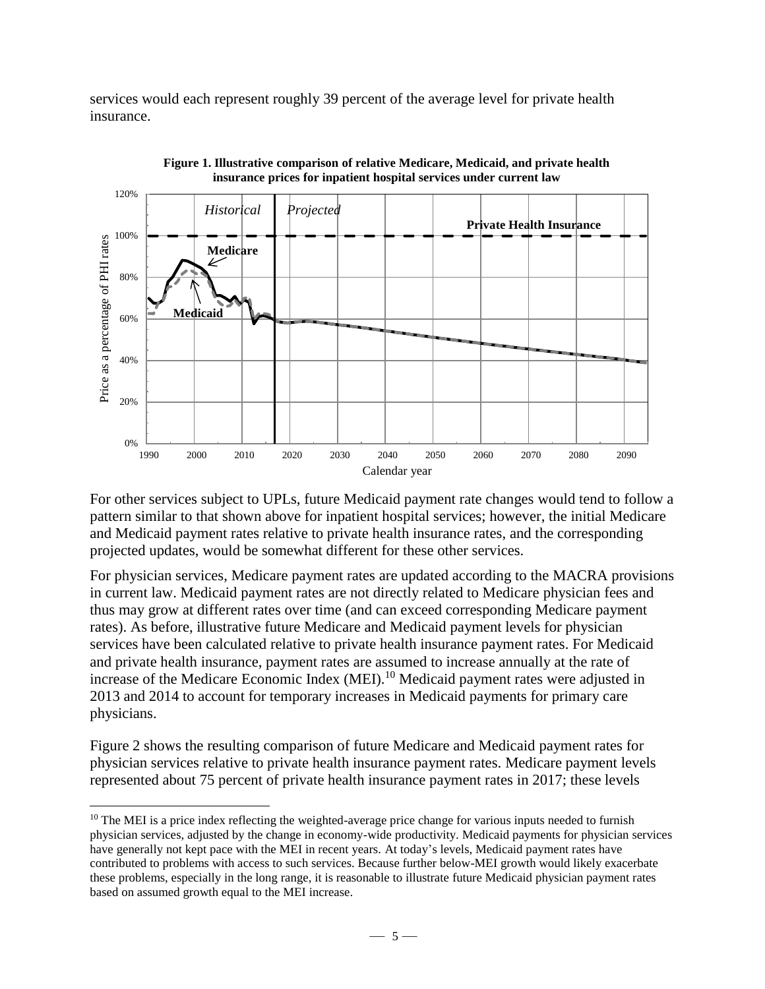services would each represent roughly 39 percent of the average level for private health insurance.





For other services subject to UPLs, future Medicaid payment rate changes would tend to follow a pattern similar to that shown above for inpatient hospital services; however, the initial Medicare and Medicaid payment rates relative to private health insurance rates, and the corresponding projected updates, would be somewhat different for these other services.

For physician services, Medicare payment rates are updated according to the MACRA provisions in current law. Medicaid payment rates are not directly related to Medicare physician fees and thus may grow at different rates over time (and can exceed corresponding Medicare payment rates). As before, illustrative future Medicare and Medicaid payment levels for physician services have been calculated relative to private health insurance payment rates. For Medicaid and private health insurance, payment rates are assumed to increase annually at the rate of increase of the Medicare Economic Index (MEI).<sup>10</sup> Medicaid payment rates were adjusted in 2013 and 2014 to account for temporary increases in Medicaid payments for primary care physicians.

Figure 2 shows the resulting comparison of future Medicare and Medicaid payment rates for physician services relative to private health insurance payment rates. Medicare payment levels represented about 75 percent of private health insurance payment rates in 2017; these levels

 $10$  The MEI is a price index reflecting the weighted-average price change for various inputs needed to furnish physician services, adjusted by the change in economy-wide productivity. Medicaid payments for physician services have generally not kept pace with the MEI in recent years. At today's levels, Medicaid payment rates have contributed to problems with access to such services. Because further below-MEI growth would likely exacerbate these problems, especially in the long range, it is reasonable to illustrate future Medicaid physician payment rates based on assumed growth equal to the MEI increase.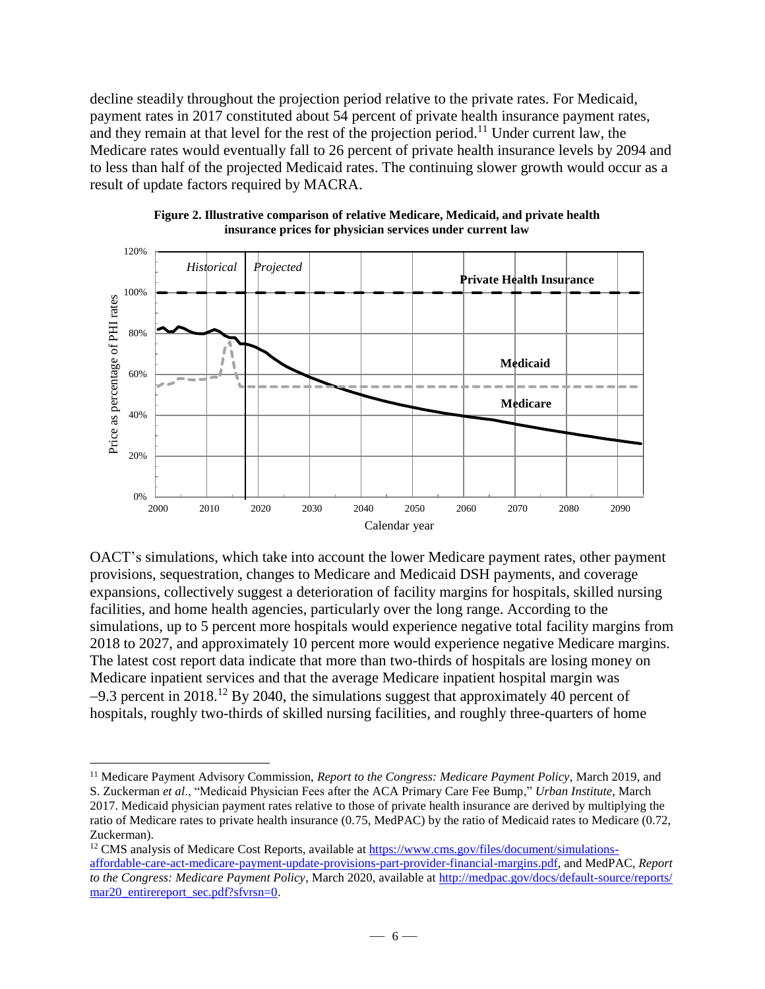decline steadily throughout the projection period relative to the private rates. For Medicaid, payment rates in 2017 constituted about 54 percent of private health insurance payment rates, and they remain at that level for the rest of the projection period.<sup>11</sup> Under current law, the Medicare rates would eventually fall to 26 percent of private health insurance levels by 2094 and to less than half of the projected Medicaid rates. The continuing slower growth would occur as a result of update factors required by MACRA.



**Figure 2. Illustrative comparison of relative Medicare, Medicaid, and private health insurance prices for physician services under current law**

OACT's simulations, which take into account the lower Medicare payment rates, other payment provisions, sequestration, changes to Medicare and Medicaid DSH payments, and coverage expansions, collectively suggest a deterioration of facility margins for hospitals, skilled nursing facilities, and home health agencies, particularly over the long range. According to the simulations, up to 5 percent more hospitals would experience negative total facility margins from 2018 to 2027, and approximately 10 percent more would experience negative Medicare margins. The latest cost report data indicate that more than two-thirds of hospitals are losing money on Medicare inpatient services and that the average Medicare inpatient hospital margin was  $-9.3$  percent in 2018.<sup>12</sup> By 2040, the simulations suggest that approximately 40 percent of hospitals, roughly two-thirds of skilled nursing facilities, and roughly three-quarters of home

<sup>11</sup> Medicare Payment Advisory Commission, *Report to the Congress: Medicare Payment Policy*, March 2019, and S. Zuckerman *et al*., "Medicaid Physician Fees after the ACA Primary Care Fee Bump," *Urban Institute*, March

<sup>2017.</sup> Medicaid physician payment rates relative to those of private health insurance are derived by multiplying the ratio of Medicare rates to private health insurance (0.75, MedPAC) by the ratio of Medicaid rates to Medicare (0.72, Zuckerman).

<sup>&</sup>lt;sup>12</sup> CMS analysis of Medicare Cost Reports, available at [https://www.cms.gov/files/document/simulations](https://www.cms.gov/files/document/simulations-affordable-care-act-medicare-payment-update-provisions-part-provider-financial-margins.pdf)[affordable-care-act-medicare-payment-update-provisions-part-provider-financial-margins.pdf,](https://www.cms.gov/files/document/simulations-affordable-care-act-medicare-payment-update-provisions-part-provider-financial-margins.pdf) and MedPAC*, Report to the Congress: Medicare Payment Policy*, March 2020, available at [http://medpac.gov/docs/default-source/reports/](http://medpac.gov/docs/default-source/reports/mar20_entirereport_sec.pdf?sfvrsn=0) [mar20\\_entirereport\\_sec.pdf?sfvrsn=0.](http://medpac.gov/docs/default-source/reports/mar20_entirereport_sec.pdf?sfvrsn=0)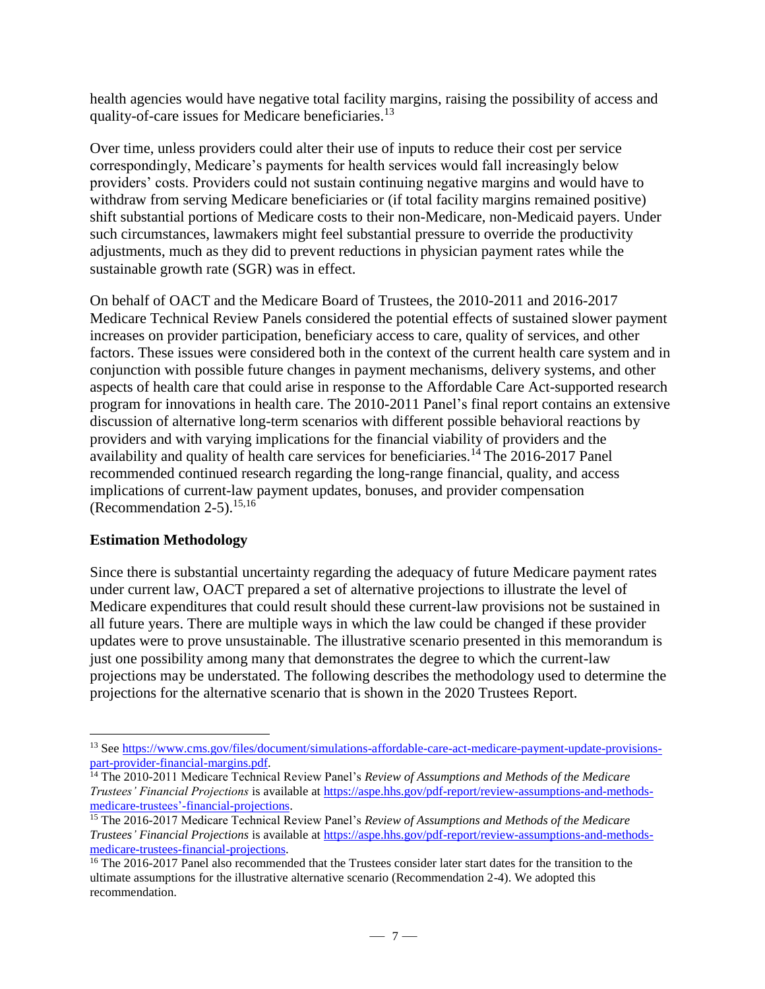health agencies would have negative total facility margins, raising the possibility of access and quality-of-care issues for Medicare beneficiaries.<sup>13</sup>

Over time, unless providers could alter their use of inputs to reduce their cost per service correspondingly, Medicare's payments for health services would fall increasingly below providers' costs. Providers could not sustain continuing negative margins and would have to withdraw from serving Medicare beneficiaries or (if total facility margins remained positive) shift substantial portions of Medicare costs to their non-Medicare, non-Medicaid payers. Under such circumstances, lawmakers might feel substantial pressure to override the productivity adjustments, much as they did to prevent reductions in physician payment rates while the sustainable growth rate (SGR) was in effect.

On behalf of OACT and the Medicare Board of Trustees, the 2010-2011 and 2016-2017 Medicare Technical Review Panels considered the potential effects of sustained slower payment increases on provider participation, beneficiary access to care, quality of services, and other factors. These issues were considered both in the context of the current health care system and in conjunction with possible future changes in payment mechanisms, delivery systems, and other aspects of health care that could arise in response to the Affordable Care Act-supported research program for innovations in health care. The 2010-2011 Panel's final report contains an extensive discussion of alternative long-term scenarios with different possible behavioral reactions by providers and with varying implications for the financial viability of providers and the availability and quality of health care services for beneficiaries.<sup>14</sup> The 2016-2017 Panel recommended continued research regarding the long-range financial, quality, and access implications of current-law payment updates, bonuses, and provider compensation (Recommendation  $2-5$ ).<sup>15,16</sup>

### **Estimation Methodology**

 $\overline{a}$ 

Since there is substantial uncertainty regarding the adequacy of future Medicare payment rates under current law, OACT prepared a set of alternative projections to illustrate the level of Medicare expenditures that could result should these current-law provisions not be sustained in all future years. There are multiple ways in which the law could be changed if these provider updates were to prove unsustainable. The illustrative scenario presented in this memorandum is just one possibility among many that demonstrates the degree to which the current-law projections may be understated. The following describes the methodology used to determine the projections for the alternative scenario that is shown in the 2020 Trustees Report.

<sup>&</sup>lt;sup>13</sup> See [https://www.cms.gov/files/document/simulations-affordable-care-act-medicare-payment-update-provisions](https://www.cms.gov/files/document/simulations-affordable-care-act-medicare-payment-update-provisions-part-provider-financial-margins.pdf)[part-provider-financial-margins.pdf.](https://www.cms.gov/files/document/simulations-affordable-care-act-medicare-payment-update-provisions-part-provider-financial-margins.pdf)

<sup>14</sup> The 2010-2011 Medicare Technical Review Panel's *Review of Assumptions and Methods of the Medicare Trustees' Financial Projections* is available at [https://aspe.hhs.gov/pdf-report/review-assumptions-and-methods](https://aspe.hhs.gov/pdf-report/review-assumptions-and-methods-medicare-trustees’-financial-projections)[medicare-trustees'-financial-projections.](https://aspe.hhs.gov/pdf-report/review-assumptions-and-methods-medicare-trustees’-financial-projections)

<sup>15</sup> The 2016-2017 Medicare Technical Review Panel's *Review of Assumptions and Methods of the Medicare Trustees' Financial Projections* is available at [https://aspe.hhs.gov/pdf-report/review-assumptions-and-methods](https://aspe.hhs.gov/pdf-report/review-assumptions-and-methods-medicare-trustees-financial-projections)[medicare-trustees-financial-projections.](https://aspe.hhs.gov/pdf-report/review-assumptions-and-methods-medicare-trustees-financial-projections)

<sup>&</sup>lt;sup>16</sup> The 2016-2017 Panel also recommended that the Trustees consider later start dates for the transition to the ultimate assumptions for the illustrative alternative scenario (Recommendation 2-4). We adopted this recommendation.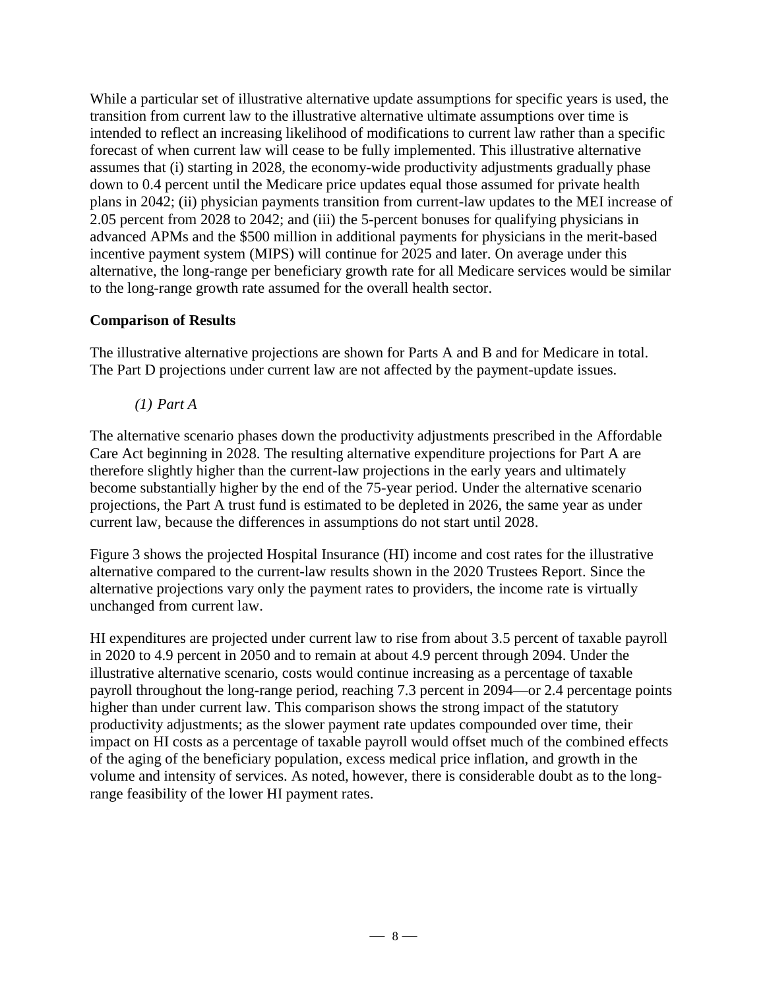While a particular set of illustrative alternative update assumptions for specific years is used, the transition from current law to the illustrative alternative ultimate assumptions over time is intended to reflect an increasing likelihood of modifications to current law rather than a specific forecast of when current law will cease to be fully implemented. This illustrative alternative assumes that (i) starting in 2028, the economy-wide productivity adjustments gradually phase down to 0.4 percent until the Medicare price updates equal those assumed for private health plans in 2042; (ii) physician payments transition from current-law updates to the MEI increase of 2.05 percent from 2028 to 2042; and (iii) the 5-percent bonuses for qualifying physicians in advanced APMs and the \$500 million in additional payments for physicians in the merit-based incentive payment system (MIPS) will continue for 2025 and later. On average under this alternative, the long-range per beneficiary growth rate for all Medicare services would be similar to the long-range growth rate assumed for the overall health sector.

## **Comparison of Results**

The illustrative alternative projections are shown for Parts A and B and for Medicare in total. The Part D projections under current law are not affected by the payment-update issues.

*(1) Part A*

The alternative scenario phases down the productivity adjustments prescribed in the Affordable Care Act beginning in 2028. The resulting alternative expenditure projections for Part A are therefore slightly higher than the current-law projections in the early years and ultimately become substantially higher by the end of the 75-year period. Under the alternative scenario projections, the Part A trust fund is estimated to be depleted in 2026, the same year as under current law, because the differences in assumptions do not start until 2028.

Figure 3 shows the projected Hospital Insurance (HI) income and cost rates for the illustrative alternative compared to the current-law results shown in the 2020 Trustees Report. Since the alternative projections vary only the payment rates to providers, the income rate is virtually unchanged from current law.

HI expenditures are projected under current law to rise from about 3.5 percent of taxable payroll in 2020 to 4.9 percent in 2050 and to remain at about 4.9 percent through 2094. Under the illustrative alternative scenario, costs would continue increasing as a percentage of taxable payroll throughout the long-range period, reaching 7.3 percent in 2094—or 2.4 percentage points higher than under current law. This comparison shows the strong impact of the statutory productivity adjustments; as the slower payment rate updates compounded over time, their impact on HI costs as a percentage of taxable payroll would offset much of the combined effects of the aging of the beneficiary population, excess medical price inflation, and growth in the volume and intensity of services. As noted, however, there is considerable doubt as to the longrange feasibility of the lower HI payment rates.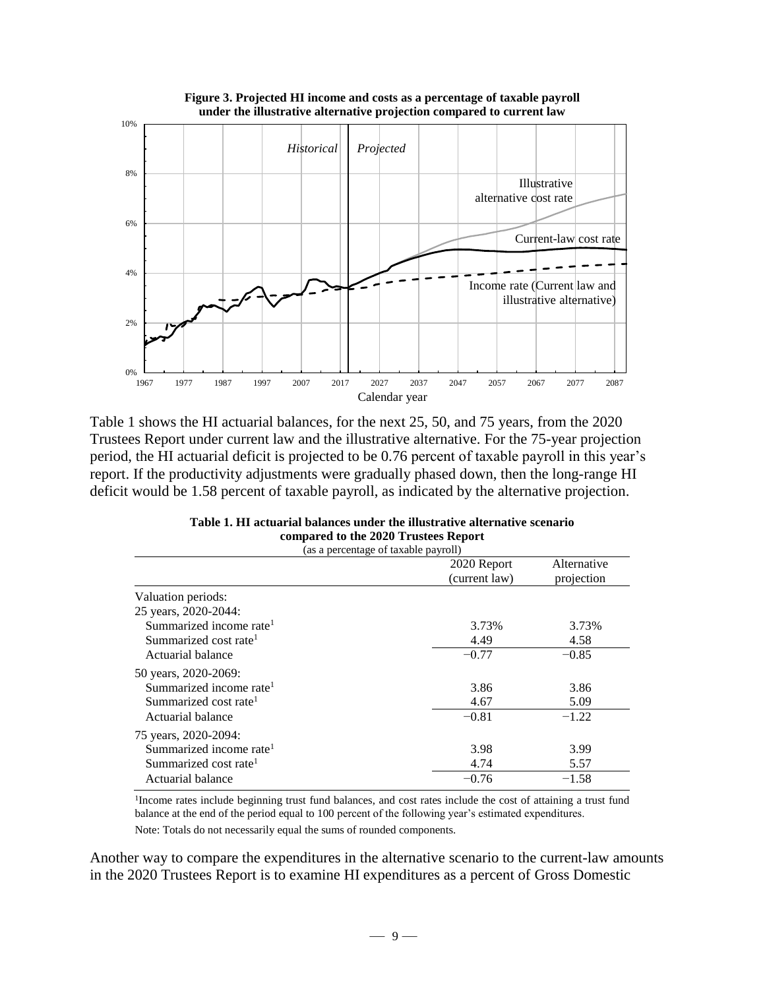

Table 1 shows the HI actuarial balances, for the next 25, 50, and 75 years, from the 2020 Trustees Report under current law and the illustrative alternative. For the 75-year projection period, the HI actuarial deficit is projected to be 0.76 percent of taxable payroll in this year's report. If the productivity adjustments were gradually phased down, then the long-range HI deficit would be 1.58 percent of taxable payroll, as indicated by the alternative projection.

| Table 1. HI actuarial balances under the illustrative alternative scenario |  |  |  |  |
|----------------------------------------------------------------------------|--|--|--|--|
| compared to the 2020 Trustees Report                                       |  |  |  |  |
| (as a perceptage of taxable payroll)                                       |  |  |  |  |

|                                     | 2020 Report   | Alternative |
|-------------------------------------|---------------|-------------|
|                                     | (current law) | projection  |
| Valuation periods:                  |               |             |
| 25 years, 2020-2044:                |               |             |
| Summarized income rate <sup>1</sup> | 3.73%         | 3.73%       |
| Summarized cost rate <sup>1</sup>   | 4.49          | 4.58        |
| Actuarial balance                   | $-0.77$       | $-0.85$     |
| 50 years, 2020-2069:                |               |             |
| Summarized income rate <sup>1</sup> | 3.86          | 3.86        |
| Summarized cost rate <sup>1</sup>   | 4.67          | 5.09        |
| Actuarial balance                   | $-0.81$       | $-1.22$     |
| 75 years, 2020-2094:                |               |             |
| Summarized income rate <sup>1</sup> | 3.98          | 3.99        |
| Summarized cost rate <sup>1</sup>   | 4.74          | 5.57        |
| Actuarial balance                   | $-0.76$       | $-1.58$     |

<sup>1</sup>Income rates include beginning trust fund balances, and cost rates include the cost of attaining a trust fund balance at the end of the period equal to 100 percent of the following year's estimated expenditures.

Note: Totals do not necessarily equal the sums of rounded components.

Another way to compare the expenditures in the alternative scenario to the current-law amounts in the 2020 Trustees Report is to examine HI expenditures as a percent of Gross Domestic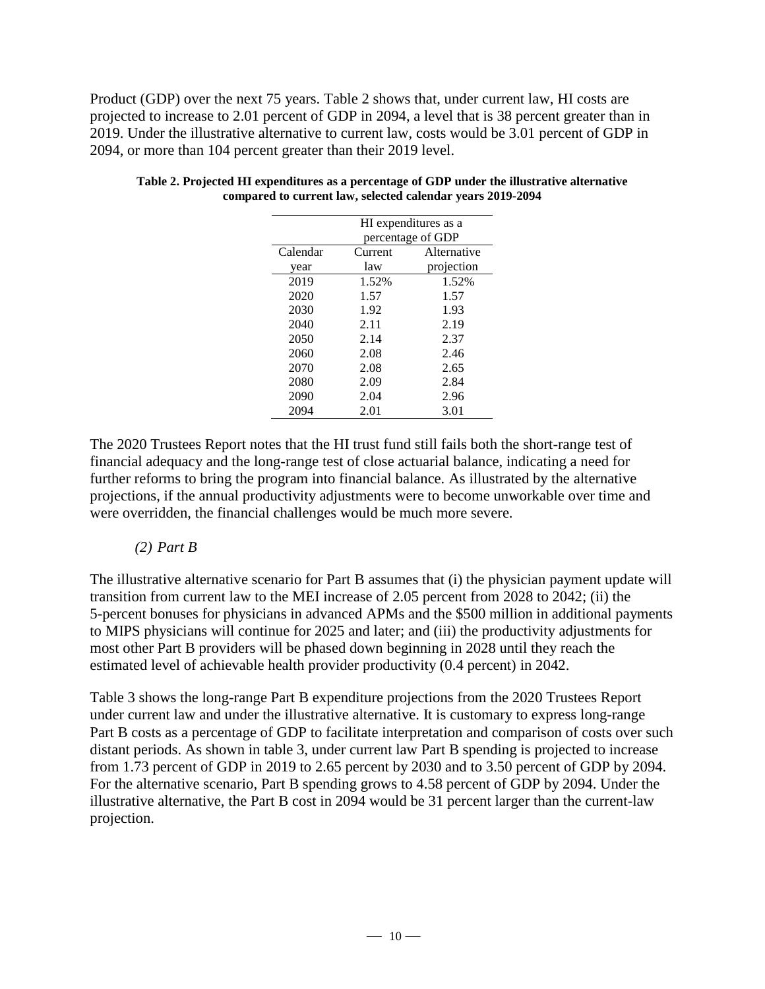Product (GDP) over the next 75 years. Table 2 shows that, under current law, HI costs are projected to increase to 2.01 percent of GDP in 2094, a level that is 38 percent greater than in 2019. Under the illustrative alternative to current law, costs would be 3.01 percent of GDP in 2094, or more than 104 percent greater than their 2019 level.

| HI expenditures as a |                   |             |  |
|----------------------|-------------------|-------------|--|
|                      | percentage of GDP |             |  |
| Calendar             | Current           | Alternative |  |
| year                 | law               | projection  |  |
| 2019                 | 1.52%             | 1.52%       |  |
| 2020                 | 1.57              | 1.57        |  |
| 2030                 | 1.92              | 1.93        |  |
| 2040                 | 2.11              | 2.19        |  |
| 2050                 | 2.14              | 2.37        |  |
| 2060                 | 2.08              | 2.46        |  |
| 2070                 | 2.08              | 2.65        |  |
| 2080                 | 2.09              | 2.84        |  |
| 2090                 | 2.04              | 2.96        |  |
| 2094                 | 2.01              | 3.01        |  |
|                      |                   |             |  |

**Table 2. Projected HI expenditures as a percentage of GDP under the illustrative alternative compared to current law, selected calendar years 2019-2094**

The 2020 Trustees Report notes that the HI trust fund still fails both the short-range test of financial adequacy and the long-range test of close actuarial balance, indicating a need for further reforms to bring the program into financial balance. As illustrated by the alternative projections, if the annual productivity adjustments were to become unworkable over time and were overridden, the financial challenges would be much more severe.

#### *(2) Part B*

The illustrative alternative scenario for Part B assumes that (i) the physician payment update will transition from current law to the MEI increase of 2.05 percent from 2028 to 2042; (ii) the 5-percent bonuses for physicians in advanced APMs and the \$500 million in additional payments to MIPS physicians will continue for 2025 and later; and (iii) the productivity adjustments for most other Part B providers will be phased down beginning in 2028 until they reach the estimated level of achievable health provider productivity (0.4 percent) in 2042.

Table 3 shows the long-range Part B expenditure projections from the 2020 Trustees Report under current law and under the illustrative alternative. It is customary to express long-range Part B costs as a percentage of GDP to facilitate interpretation and comparison of costs over such distant periods. As shown in table 3, under current law Part B spending is projected to increase from 1.73 percent of GDP in 2019 to 2.65 percent by 2030 and to 3.50 percent of GDP by 2094. For the alternative scenario, Part B spending grows to 4.58 percent of GDP by 2094. Under the illustrative alternative, the Part B cost in 2094 would be 31 percent larger than the current-law projection.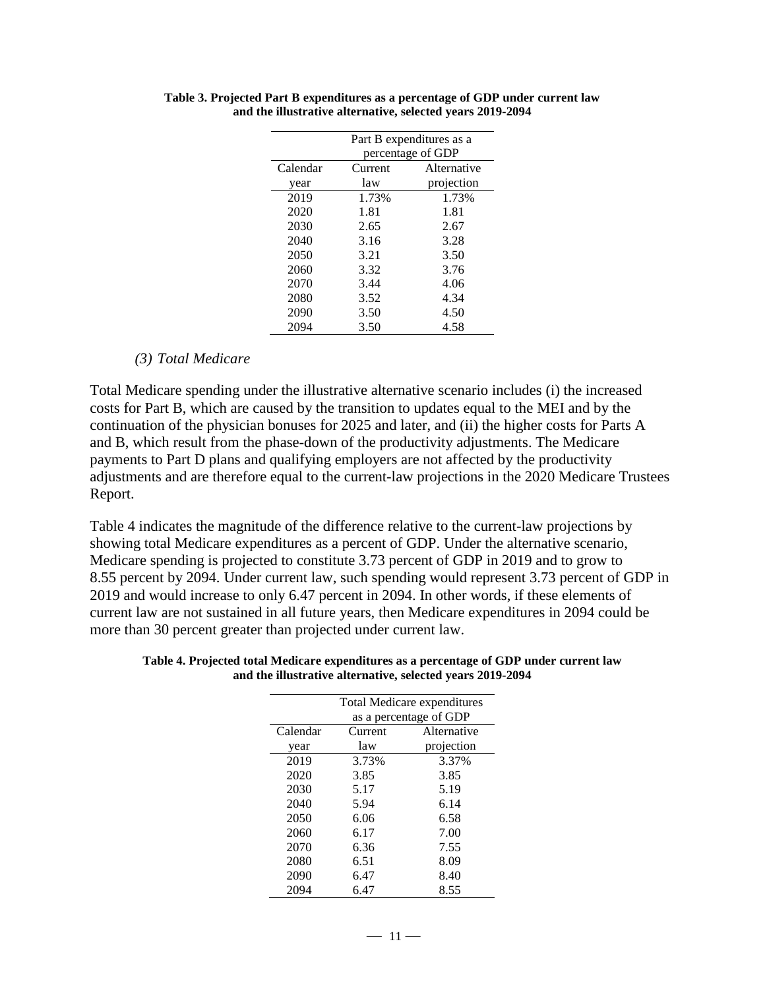|          | Part B expenditures as a |             |  |
|----------|--------------------------|-------------|--|
|          | percentage of GDP        |             |  |
| Calendar | Current                  | Alternative |  |
| year     | law                      | projection  |  |
| 2019     | 1.73%                    | 1.73%       |  |
| 2020     | 1.81                     | 1.81        |  |
| 2030     | 2.65                     | 2.67        |  |
| 2040     | 3.16                     | 3.28        |  |
| 2050     | 3.21                     | 3.50        |  |
| 2060     | 3.32                     | 3.76        |  |
| 2070     | 3.44                     | 4.06        |  |
| 2080     | 3.52                     | 4.34        |  |
| 2090     | 3.50                     | 4.50        |  |
| 2094     | 3.50                     | 4.58        |  |

**Table 3. Projected Part B expenditures as a percentage of GDP under current law and the illustrative alternative, selected years 2019-2094**

#### *(3) Total Medicare*

Total Medicare spending under the illustrative alternative scenario includes (i) the increased costs for Part B, which are caused by the transition to updates equal to the MEI and by the continuation of the physician bonuses for 2025 and later, and (ii) the higher costs for Parts A and B, which result from the phase-down of the productivity adjustments. The Medicare payments to Part D plans and qualifying employers are not affected by the productivity adjustments and are therefore equal to the current-law projections in the 2020 Medicare Trustees Report.

Table 4 indicates the magnitude of the difference relative to the current-law projections by showing total Medicare expenditures as a percent of GDP. Under the alternative scenario, Medicare spending is projected to constitute 3.73 percent of GDP in 2019 and to grow to 8.55 percent by 2094. Under current law, such spending would represent 3.73 percent of GDP in 2019 and would increase to only 6.47 percent in 2094. In other words, if these elements of current law are not sustained in all future years, then Medicare expenditures in 2094 could be more than 30 percent greater than projected under current law.

|          | <b>Total Medicare expenditures</b> |             |  |
|----------|------------------------------------|-------------|--|
|          | as a percentage of GDP             |             |  |
| Calendar | Current                            | Alternative |  |
| year     | law                                | projection  |  |
| 2019     | 3.73%                              | 3.37%       |  |
| 2020     | 3.85                               | 3.85        |  |
| 2030     | 5.17                               | 5.19        |  |
| 2040     | 5.94                               | 6.14        |  |
| 2050     | 6.06                               | 6.58        |  |
| 2060     | 6.17                               | 7.00        |  |
| 2070     | 6.36                               | 7.55        |  |
| 2080     | 6.51                               | 8.09        |  |
| 2090     | 6.47                               | 8.40        |  |
| 2094     | 6.47                               | 8.55        |  |

**Table 4. Projected total Medicare expenditures as a percentage of GDP under current law and the illustrative alternative, selected years 2019-2094**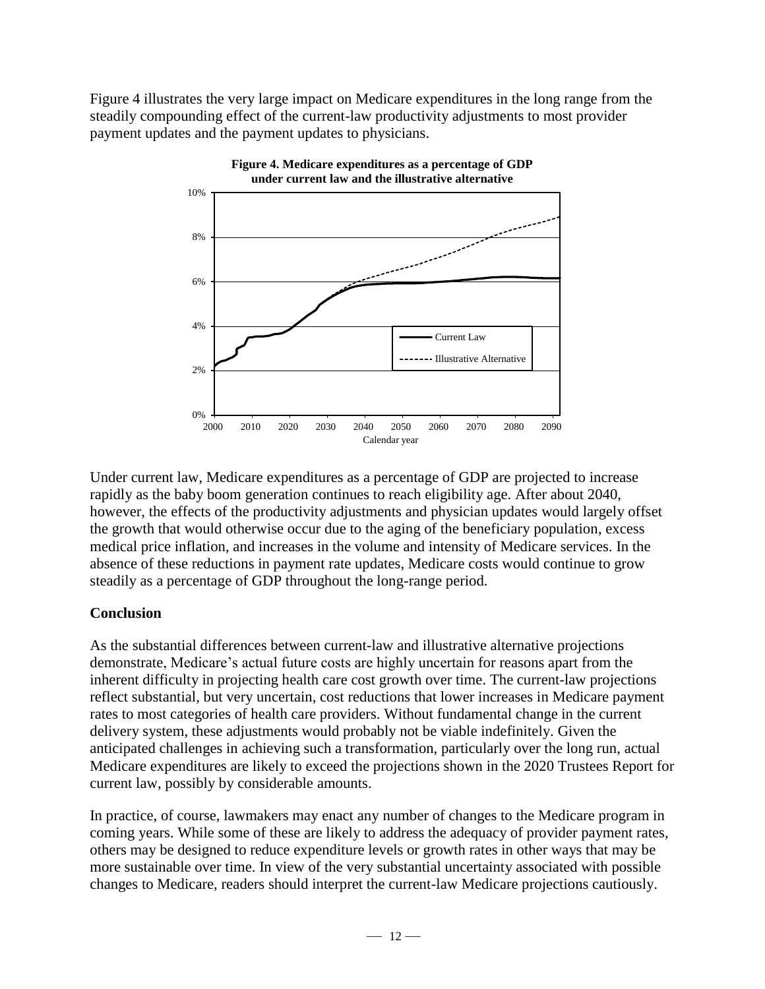Figure 4 illustrates the very large impact on Medicare expenditures in the long range from the steadily compounding effect of the current-law productivity adjustments to most provider payment updates and the payment updates to physicians.



Under current law, Medicare expenditures as a percentage of GDP are projected to increase rapidly as the baby boom generation continues to reach eligibility age. After about 2040, however, the effects of the productivity adjustments and physician updates would largely offset the growth that would otherwise occur due to the aging of the beneficiary population, excess medical price inflation, and increases in the volume and intensity of Medicare services. In the absence of these reductions in payment rate updates, Medicare costs would continue to grow steadily as a percentage of GDP throughout the long-range period.

### **Conclusion**

As the substantial differences between current-law and illustrative alternative projections demonstrate, Medicare's actual future costs are highly uncertain for reasons apart from the inherent difficulty in projecting health care cost growth over time. The current-law projections reflect substantial, but very uncertain, cost reductions that lower increases in Medicare payment rates to most categories of health care providers. Without fundamental change in the current delivery system, these adjustments would probably not be viable indefinitely. Given the anticipated challenges in achieving such a transformation, particularly over the long run, actual Medicare expenditures are likely to exceed the projections shown in the 2020 Trustees Report for current law, possibly by considerable amounts.

In practice, of course, lawmakers may enact any number of changes to the Medicare program in coming years. While some of these are likely to address the adequacy of provider payment rates, others may be designed to reduce expenditure levels or growth rates in other ways that may be more sustainable over time. In view of the very substantial uncertainty associated with possible changes to Medicare, readers should interpret the current-law Medicare projections cautiously.